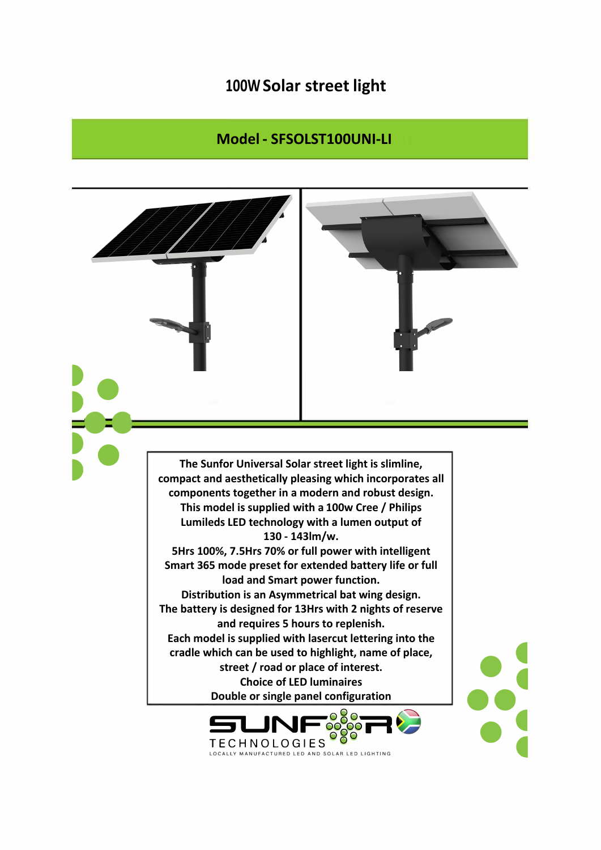## **100W Solar street light**

## **Model - SFSOLST100UNI-LI**